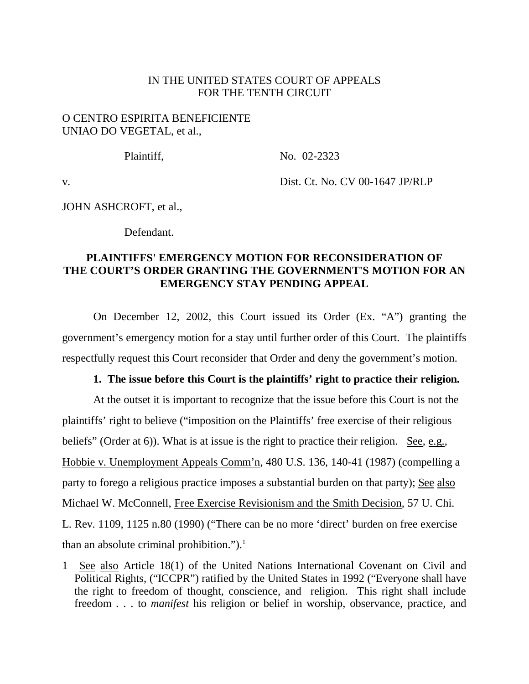#### IN THE UNITED STATES COURT OF APPEALS FOR THE TENTH CIRCUIT

### O CENTRO ESPIRITA BENEFICIENTE UNIAO DO VEGETAL, et al.,

Plaintiff, No. 02-2323

v. Dist. Ct. No. CV 00-1647 JP/RLP

JOHN ASHCROFT, et al.,

Defendant.

## **PLAINTIFFS' EMERGENCY MOTION FOR RECONSIDERATION OF THE COURT'S ORDER GRANTING THE GOVERNMENT'S MOTION FOR AN EMERGENCY STAY PENDING APPEAL**

On December 12, 2002, this Court issued its Order (Ex. "A") granting the government's emergency motion for a stay until further order of this Court. The plaintiffs respectfully request this Court reconsider that Order and deny the government's motion.

#### **1. The issue before this Court is the plaintiffs' right to practice their religion.**

At the outset it is important to recognize that the issue before this Court is not the plaintiffs' right to believe ("imposition on the Plaintiffs' free exercise of their religious beliefs" (Order at 6)). What is at issue is the right to practice their religion. See, e.g., Hobbie v. Unemployment Appeals Comm'n, 480 U.S. 136, 140-41 (1987) (compelling a party to forego a religious practice imposes a substantial burden on that party); See also Michael W. McConnell, Free Exercise Revisionism and the Smith Decision, 57 U. Chi. L. Rev. 1109, 1125 n.80 (1990) ("There can be no more 'direct' burden on free exercise than an absolute criminal prohibition."). $1$ 

<sup>1</sup> See also Article 18(1) of the United Nations International Covenant on Civil and Political Rights, ("ICCPR") ratified by the United States in 1992 ("Everyone shall have the right to freedom of thought, conscience, and religion. This right shall include freedom . . . to *manifest* his religion or belief in worship, observance, practice, and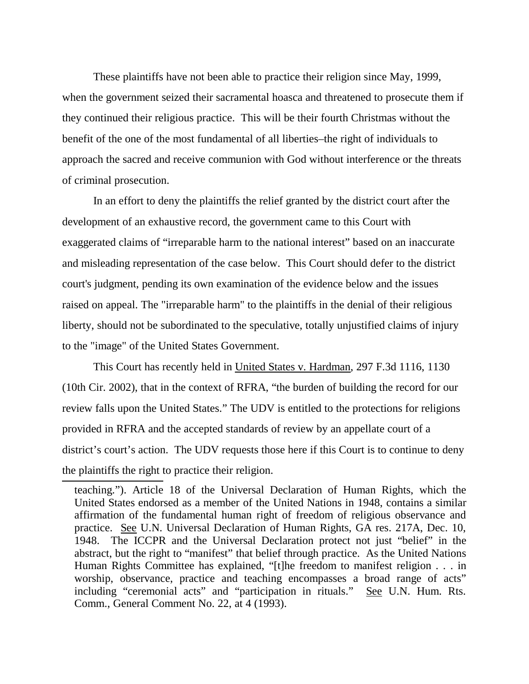These plaintiffs have not been able to practice their religion since May, 1999, when the government seized their sacramental hoasca and threatened to prosecute them if they continued their religious practice. This will be their fourth Christmas without the benefit of the one of the most fundamental of all liberties–the right of individuals to approach the sacred and receive communion with God without interference or the threats of criminal prosecution.

In an effort to deny the plaintiffs the relief granted by the district court after the development of an exhaustive record, the government came to this Court with exaggerated claims of "irreparable harm to the national interest" based on an inaccurate and misleading representation of the case below. This Court should defer to the district court's judgment, pending its own examination of the evidence below and the issues raised on appeal. The "irreparable harm" to the plaintiffs in the denial of their religious liberty, should not be subordinated to the speculative, totally unjustified claims of injury to the "image" of the United States Government.

This Court has recently held in United States v. Hardman, 297 F.3d 1116, 1130 (10th Cir. 2002), that in the context of RFRA, "the burden of building the record for our review falls upon the United States." The UDV is entitled to the protections for religions provided in RFRA and the accepted standards of review by an appellate court of a district's court's action. The UDV requests those here if this Court is to continue to deny the plaintiffs the right to practice their religion.

teaching."). Article 18 of the Universal Declaration of Human Rights, which the United States endorsed as a member of the United Nations in 1948, contains a similar affirmation of the fundamental human right of freedom of religious observance and practice. See U.N. Universal Declaration of Human Rights, GA res. 217A, Dec. 10, 1948. The ICCPR and the Universal Declaration protect not just "belief" in the abstract, but the right to "manifest" that belief through practice. As the United Nations Human Rights Committee has explained, "[t]he freedom to manifest religion . . . in worship, observance, practice and teaching encompasses a broad range of acts" including "ceremonial acts" and "participation in rituals." See U.N. Hum. Rts. Comm., General Comment No. 22, at 4 (1993).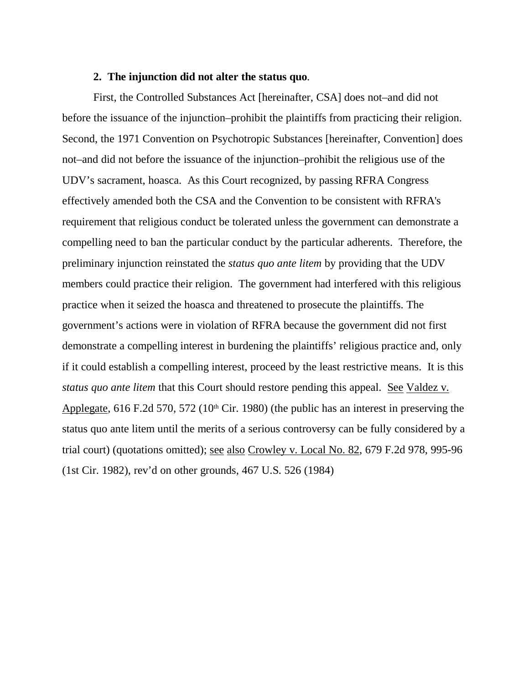#### **2. The injunction did not alter the status quo**.

First, the Controlled Substances Act [hereinafter, CSA] does not–and did not before the issuance of the injunction–prohibit the plaintiffs from practicing their religion. Second, the 1971 Convention on Psychotropic Substances [hereinafter, Convention] does not–and did not before the issuance of the injunction–prohibit the religious use of the UDV's sacrament, hoasca. As this Court recognized, by passing RFRA Congress effectively amended both the CSA and the Convention to be consistent with RFRA's requirement that religious conduct be tolerated unless the government can demonstrate a compelling need to ban the particular conduct by the particular adherents. Therefore, the preliminary injunction reinstated the *status quo ante litem* by providing that the UDV members could practice their religion. The government had interfered with this religious practice when it seized the hoasca and threatened to prosecute the plaintiffs. The government's actions were in violation of RFRA because the government did not first demonstrate a compelling interest in burdening the plaintiffs' religious practice and, only if it could establish a compelling interest, proceed by the least restrictive means. It is this *status quo ante litem* that this Court should restore pending this appeal. See Valdez v. Applegate,  $616$  F.2d  $570$ ,  $572$  ( $10<sup>th</sup>$  Cir. 1980) (the public has an interest in preserving the status quo ante litem until the merits of a serious controversy can be fully considered by a trial court) (quotations omitted); see also Crowley v. Local No. 82, 679 F.2d 978, 995-96 (1st Cir. 1982), rev'd on other grounds, 467 U.S. 526 (1984)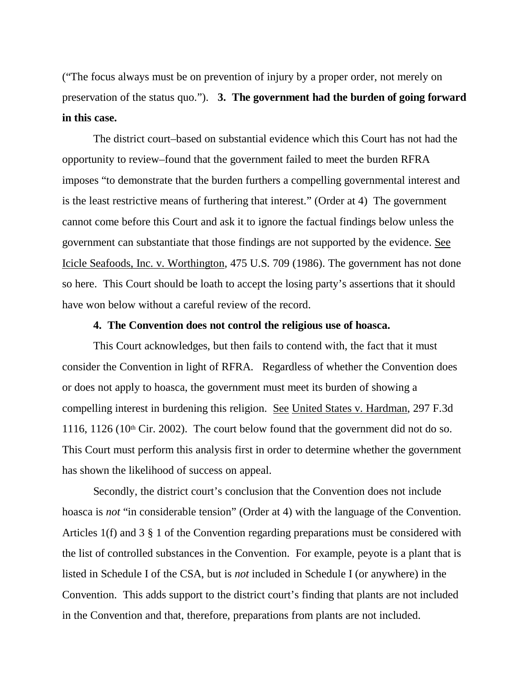("The focus always must be on prevention of injury by a proper order, not merely on preservation of the status quo."). **3. The government had the burden of going forward in this case.**

The district court–based on substantial evidence which this Court has not had the opportunity to review–found that the government failed to meet the burden RFRA imposes "to demonstrate that the burden furthers a compelling governmental interest and is the least restrictive means of furthering that interest." (Order at 4) The government cannot come before this Court and ask it to ignore the factual findings below unless the government can substantiate that those findings are not supported by the evidence. See Icicle Seafoods, Inc. v. Worthington, 475 U.S. 709 (1986). The government has not done so here. This Court should be loath to accept the losing party's assertions that it should have won below without a careful review of the record.

#### **4. The Convention does not control the religious use of hoasca.**

This Court acknowledges, but then fails to contend with, the fact that it must consider the Convention in light of RFRA. Regardless of whether the Convention does or does not apply to hoasca, the government must meet its burden of showing a compelling interest in burdening this religion. See United States v. Hardman, 297 F.3d 1116, 1126 (10<sup>th</sup> Cir. 2002). The court below found that the government did not do so. This Court must perform this analysis first in order to determine whether the government has shown the likelihood of success on appeal.

Secondly, the district court's conclusion that the Convention does not include hoasca is *not* "in considerable tension" (Order at 4) with the language of the Convention. Articles 1(f) and 3 § 1 of the Convention regarding preparations must be considered with the list of controlled substances in the Convention. For example, peyote is a plant that is listed in Schedule I of the CSA, but is *not* included in Schedule I (or anywhere) in the Convention. This adds support to the district court's finding that plants are not included in the Convention and that, therefore, preparations from plants are not included.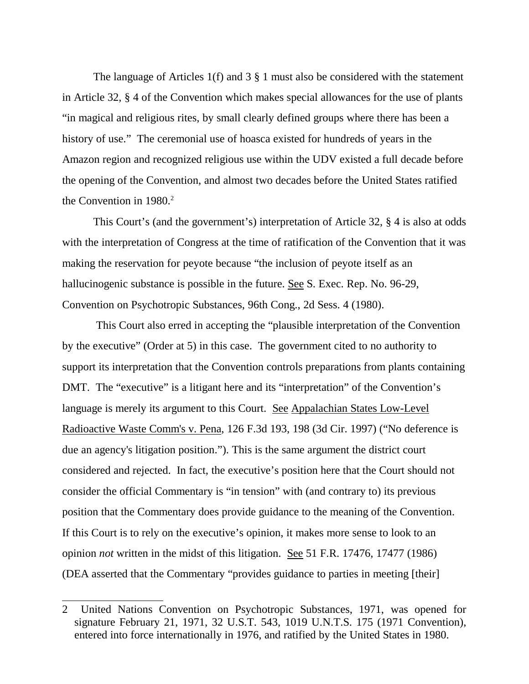The language of Articles 1(f) and 3 § 1 must also be considered with the statement in Article 32, § 4 of the Convention which makes special allowances for the use of plants "in magical and religious rites, by small clearly defined groups where there has been a history of use." The ceremonial use of hoasca existed for hundreds of years in the Amazon region and recognized religious use within the UDV existed a full decade before the opening of the Convention, and almost two decades before the United States ratified the Convention in  $1980.<sup>2</sup>$ 

This Court's (and the government's) interpretation of Article 32, § 4 is also at odds with the interpretation of Congress at the time of ratification of the Convention that it was making the reservation for peyote because "the inclusion of peyote itself as an hallucinogenic substance is possible in the future. See S. Exec. Rep. No. 96-29, Convention on Psychotropic Substances, 96th Cong., 2d Sess. 4 (1980).

 This Court also erred in accepting the "plausible interpretation of the Convention by the executive" (Order at 5) in this case. The government cited to no authority to support its interpretation that the Convention controls preparations from plants containing DMT. The "executive" is a litigant here and its "interpretation" of the Convention's language is merely its argument to this Court. See Appalachian States Low-Level Radioactive Waste Comm's v. Pena, 126 F.3d 193, 198 (3d Cir. 1997) ("No deference is due an agency's litigation position."). This is the same argument the district court considered and rejected. In fact, the executive's position here that the Court should not consider the official Commentary is "in tension" with (and contrary to) its previous position that the Commentary does provide guidance to the meaning of the Convention. If this Court is to rely on the executive's opinion, it makes more sense to look to an opinion *not* written in the midst of this litigation. See 51 F.R. 17476, 17477 (1986) (DEA asserted that the Commentary "provides guidance to parties in meeting [their]

<sup>2</sup> United Nations Convention on Psychotropic Substances, 1971, was opened for signature February 21, 1971, 32 U.S.T. 543, 1019 U.N.T.S. 175 (1971 Convention), entered into force internationally in 1976, and ratified by the United States in 1980.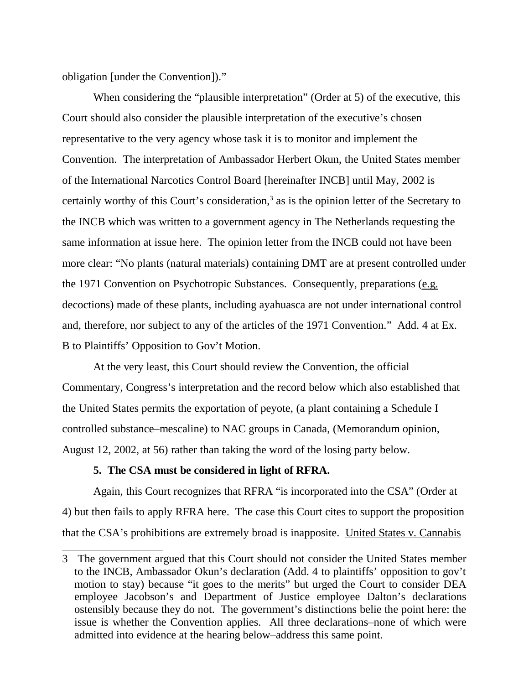obligation [under the Convention])."

When considering the "plausible interpretation" (Order at 5) of the executive, this Court should also consider the plausible interpretation of the executive's chosen representative to the very agency whose task it is to monitor and implement the Convention. The interpretation of Ambassador Herbert Okun, the United States member of the International Narcotics Control Board [hereinafter INCB] until May, 2002 is certainly worthy of this Court's consideration,<sup>3</sup> as is the opinion letter of the Secretary to the INCB which was written to a government agency in The Netherlands requesting the same information at issue here. The opinion letter from the INCB could not have been more clear: "No plants (natural materials) containing DMT are at present controlled under the 1971 Convention on Psychotropic Substances. Consequently, preparations (e.g. decoctions) made of these plants, including ayahuasca are not under international control and, therefore, nor subject to any of the articles of the 1971 Convention." Add. 4 at Ex. B to Plaintiffs' Opposition to Gov't Motion.

At the very least, this Court should review the Convention, the official Commentary, Congress's interpretation and the record below which also established that the United States permits the exportation of peyote, (a plant containing a Schedule I controlled substance–mescaline) to NAC groups in Canada, (Memorandum opinion, August 12, 2002, at 56) rather than taking the word of the losing party below.

#### **5. The CSA must be considered in light of RFRA.**

Again, this Court recognizes that RFRA "is incorporated into the CSA" (Order at 4) but then fails to apply RFRA here. The case this Court cites to support the proposition that the CSA's prohibitions are extremely broad is inapposite. United States v. Cannabis

<sup>3</sup> The government argued that this Court should not consider the United States member to the INCB, Ambassador Okun's declaration (Add. 4 to plaintiffs' opposition to gov't motion to stay) because "it goes to the merits" but urged the Court to consider DEA employee Jacobson's and Department of Justice employee Dalton's declarations ostensibly because they do not. The government's distinctions belie the point here: the issue is whether the Convention applies. All three declarations–none of which were admitted into evidence at the hearing below–address this same point.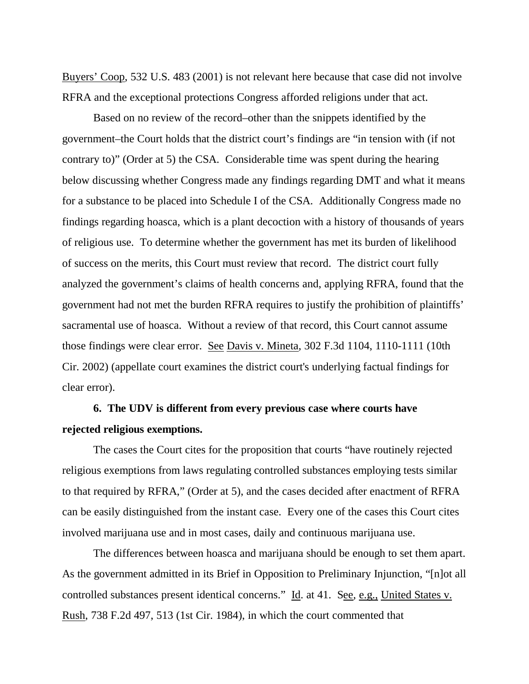Buyers' Coop, 532 U.S. 483 (2001) is not relevant here because that case did not involve RFRA and the exceptional protections Congress afforded religions under that act.

Based on no review of the record–other than the snippets identified by the government–the Court holds that the district court's findings are "in tension with (if not contrary to)" (Order at 5) the CSA. Considerable time was spent during the hearing below discussing whether Congress made any findings regarding DMT and what it means for a substance to be placed into Schedule I of the CSA. Additionally Congress made no findings regarding hoasca, which is a plant decoction with a history of thousands of years of religious use. To determine whether the government has met its burden of likelihood of success on the merits, this Court must review that record. The district court fully analyzed the government's claims of health concerns and, applying RFRA, found that the government had not met the burden RFRA requires to justify the prohibition of plaintiffs' sacramental use of hoasca. Without a review of that record, this Court cannot assume those findings were clear error. See Davis v. Mineta*,* 302 F.3d 1104, 1110-1111 (10th Cir. 2002) (appellate court examines the district court's underlying factual findings for clear error).

# **6. The UDV is different from every previous case where courts have rejected religious exemptions.**

The cases the Court cites for the proposition that courts "have routinely rejected religious exemptions from laws regulating controlled substances employing tests similar to that required by RFRA," (Order at 5), and the cases decided after enactment of RFRA can be easily distinguished from the instant case. Every one of the cases this Court cites involved marijuana use and in most cases, daily and continuous marijuana use.

The differences between hoasca and marijuana should be enough to set them apart. As the government admitted in its Brief in Opposition to Preliminary Injunction, "[n]ot all controlled substances present identical concerns." Id. at 41. See, e.g., United States v. Rush, 738 F.2d 497, 513 (1st Cir. 1984), in which the court commented that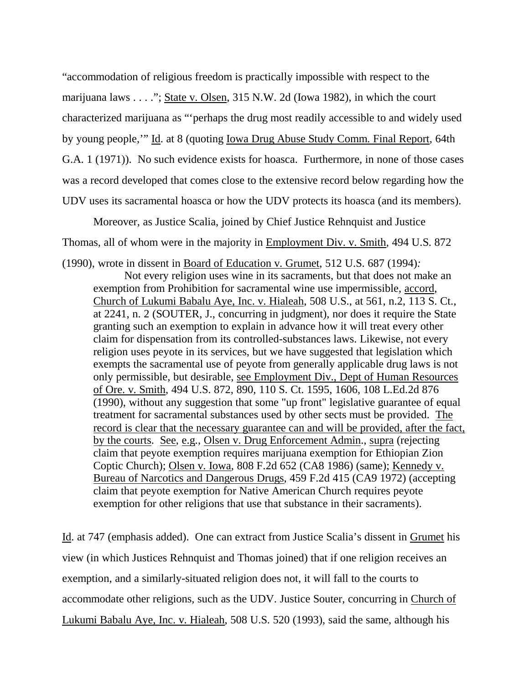"accommodation of religious freedom is practically impossible with respect to the marijuana laws . . . ."; State v. Olsen, 315 N.W. 2d (Iowa 1982), in which the court characterized marijuana as "'perhaps the drug most readily accessible to and widely used by young people,'" Id. at 8 (quoting Iowa Drug Abuse Study Comm. Final Report, 64th G.A. 1 (1971)). No such evidence exists for hoasca. Furthermore, in none of those cases was a record developed that comes close to the extensive record below regarding how the UDV uses its sacramental hoasca or how the UDV protects its hoasca (and its members).

Moreover, as Justice Scalia, joined by Chief Justice Rehnquist and Justice Thomas, all of whom were in the majority in Employment Div. v. Smith, 494 U.S. 872

(1990), wrote in dissent in Board of Education v. Grumet, 512 U.S. 687 (1994)*:* 

Not every religion uses wine in its sacraments, but that does not make an exemption from Prohibition for sacramental wine use impermissible, accord, Church of Lukumi Babalu Aye, Inc. v. Hialeah, 508 U.S., at 561, n.2, 113 S. Ct., at 2241, n. 2 (SOUTER, J., concurring in judgment), nor does it require the State granting such an exemption to explain in advance how it will treat every other claim for dispensation from its controlled-substances laws. Likewise, not every religion uses peyote in its services, but we have suggested that legislation which exempts the sacramental use of peyote from generally applicable drug laws is not only permissible, but desirable, see Employment Div., Dept of Human Resources of Ore. v. Smith, 494 U.S. 872, 890, 110 S. Ct. 1595, 1606, 108 L.Ed.2d 876 (1990), without any suggestion that some "up front" legislative guarantee of equal treatment for sacramental substances used by other sects must be provided. The record is clear that the necessary guarantee can and will be provided, after the fact, by the courts. See, e.g., Olsen v. Drug Enforcement Admin., supra (rejecting claim that peyote exemption requires marijuana exemption for Ethiopian Zion Coptic Church); Olsen v. Iowa, 808 F.2d 652 (CA8 1986) (same); Kennedy v. Bureau of Narcotics and Dangerous Drugs, 459 F.2d 415 (CA9 1972) (accepting claim that peyote exemption for Native American Church requires peyote exemption for other religions that use that substance in their sacraments).

Id. at 747 (emphasis added). One can extract from Justice Scalia's dissent in Grumet his view (in which Justices Rehnquist and Thomas joined) that if one religion receives an exemption, and a similarly-situated religion does not, it will fall to the courts to accommodate other religions, such as the UDV. Justice Souter, concurring in Church of Lukumi Babalu Aye, Inc. v. Hialeah, 508 U.S. 520 (1993), said the same, although his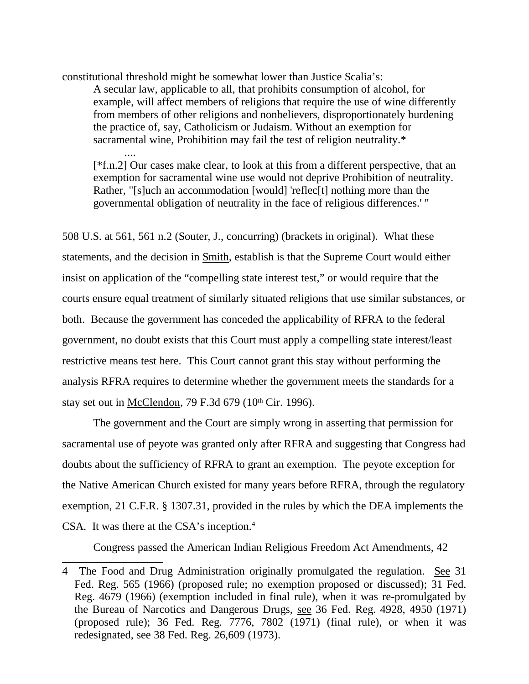constitutional threshold might be somewhat lower than Justice Scalia's:

....

A secular law, applicable to all, that prohibits consumption of alcohol, for example, will affect members of religions that require the use of wine differently from members of other religions and nonbelievers, disproportionately burdening the practice of, say, Catholicism or Judaism. Without an exemption for sacramental wine, Prohibition may fail the test of religion neutrality.\*

[\*f.n.2] Our cases make clear, to look at this from a different perspective, that an exemption for sacramental wine use would not deprive Prohibition of neutrality. Rather, "[s]uch an accommodation [would] 'reflec<sup>[t]</sup> nothing more than the governmental obligation of neutrality in the face of religious differences.' "

508 U.S. at 561, 561 n.2 (Souter, J., concurring) (brackets in original). What these statements, and the decision in Smith, establish is that the Supreme Court would either insist on application of the "compelling state interest test," or would require that the courts ensure equal treatment of similarly situated religions that use similar substances, or both. Because the government has conceded the applicability of RFRA to the federal government, no doubt exists that this Court must apply a compelling state interest/least restrictive means test here. This Court cannot grant this stay without performing the analysis RFRA requires to determine whether the government meets the standards for a stay set out in McClendon, 79 F.3d 679 (10th Cir. 1996).

The government and the Court are simply wrong in asserting that permission for sacramental use of peyote was granted only after RFRA and suggesting that Congress had doubts about the sufficiency of RFRA to grant an exemption. The peyote exception for the Native American Church existed for many years before RFRA, through the regulatory exemption, 21 C.F.R. § 1307.31, provided in the rules by which the DEA implements the CSA. It was there at the CSA's inception.<sup>4</sup>

Congress passed the American Indian Religious Freedom Act Amendments, 42

<sup>4</sup> The Food and Drug Administration originally promulgated the regulation. See 31 Fed. Reg. 565 (1966) (proposed rule; no exemption proposed or discussed); 31 Fed. Reg. 4679 (1966) (exemption included in final rule), when it was re-promulgated by the Bureau of Narcotics and Dangerous Drugs, see 36 Fed. Reg. 4928, 4950 (1971) (proposed rule); 36 Fed. Reg. 7776, 7802 (1971) (final rule), or when it was redesignated, see 38 Fed. Reg. 26,609 (1973).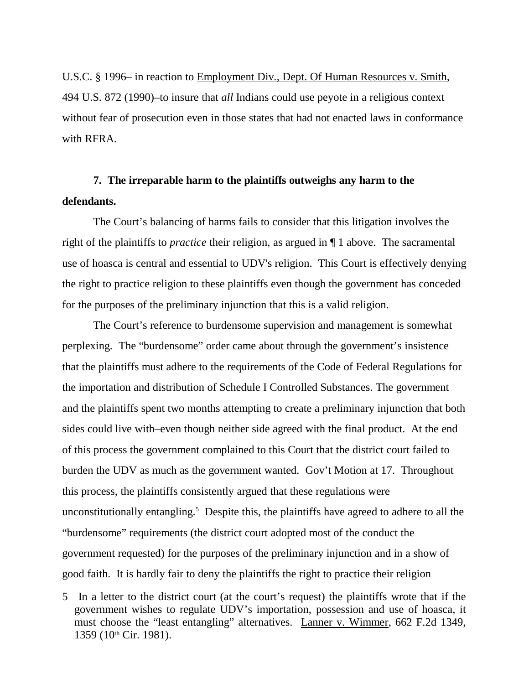U.S.C. § 1996– in reaction to Employment Div., Dept. Of Human Resources v. Smith, 494 U.S. 872 (1990)–to insure that *all* Indians could use peyote in a religious context without fear of prosecution even in those states that had not enacted laws in conformance with RFRA.

# **7. The irreparable harm to the plaintiffs outweighs any harm to the defendants.**

The Court's balancing of harms fails to consider that this litigation involves the right of the plaintiffs to *practice* their religion, as argued in ¶ 1 above. The sacramental use of hoasca is central and essential to UDV's religion. This Court is effectively denying the right to practice religion to these plaintiffs even though the government has conceded for the purposes of the preliminary injunction that this is a valid religion.

The Court's reference to burdensome supervision and management is somewhat perplexing. The "burdensome" order came about through the government's insistence that the plaintiffs must adhere to the requirements of the Code of Federal Regulations for the importation and distribution of Schedule I Controlled Substances. The government and the plaintiffs spent two months attempting to create a preliminary injunction that both sides could live with–even though neither side agreed with the final product. At the end of this process the government complained to this Court that the district court failed to burden the UDV as much as the government wanted. Gov't Motion at 17. Throughout this process, the plaintiffs consistently argued that these regulations were unconstitutionally entangling.<sup>5</sup> Despite this, the plaintiffs have agreed to adhere to all the "burdensome" requirements (the district court adopted most of the conduct the government requested) for the purposes of the preliminary injunction and in a show of good faith. It is hardly fair to deny the plaintiffs the right to practice their religion

<sup>5</sup> In a letter to the district court (at the court's request) the plaintiffs wrote that if the government wishes to regulate UDV's importation, possession and use of hoasca, it must choose the "least entangling" alternatives. Lanner v. Wimmer, 662 F.2d 1349, 1359 (10th Cir. 1981).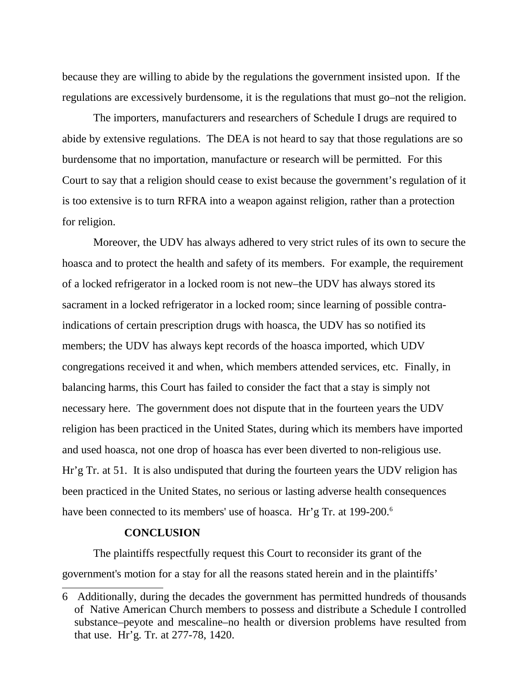because they are willing to abide by the regulations the government insisted upon. If the regulations are excessively burdensome, it is the regulations that must go–not the religion.

The importers, manufacturers and researchers of Schedule I drugs are required to abide by extensive regulations. The DEA is not heard to say that those regulations are so burdensome that no importation, manufacture or research will be permitted. For this Court to say that a religion should cease to exist because the government's regulation of it is too extensive is to turn RFRA into a weapon against religion, rather than a protection for religion.

Moreover, the UDV has always adhered to very strict rules of its own to secure the hoasca and to protect the health and safety of its members. For example, the requirement of a locked refrigerator in a locked room is not new–the UDV has always stored its sacrament in a locked refrigerator in a locked room; since learning of possible contraindications of certain prescription drugs with hoasca, the UDV has so notified its members; the UDV has always kept records of the hoasca imported, which UDV congregations received it and when, which members attended services, etc. Finally, in balancing harms, this Court has failed to consider the fact that a stay is simply not necessary here. The government does not dispute that in the fourteen years the UDV religion has been practiced in the United States, during which its members have imported and used hoasca, not one drop of hoasca has ever been diverted to non-religious use. Hr'g Tr. at 51. It is also undisputed that during the fourteen years the UDV religion has been practiced in the United States, no serious or lasting adverse health consequences have been connected to its members' use of hoasca. Hr'g Tr. at 199-200.<sup>6</sup>

#### **CONCLUSION**

The plaintiffs respectfully request this Court to reconsider its grant of the government's motion for a stay for all the reasons stated herein and in the plaintiffs'

<sup>6</sup> Additionally, during the decades the government has permitted hundreds of thousands of Native American Church members to possess and distribute a Schedule I controlled substance–peyote and mescaline–no health or diversion problems have resulted from that use. Hr'g. Tr. at 277-78, 1420.